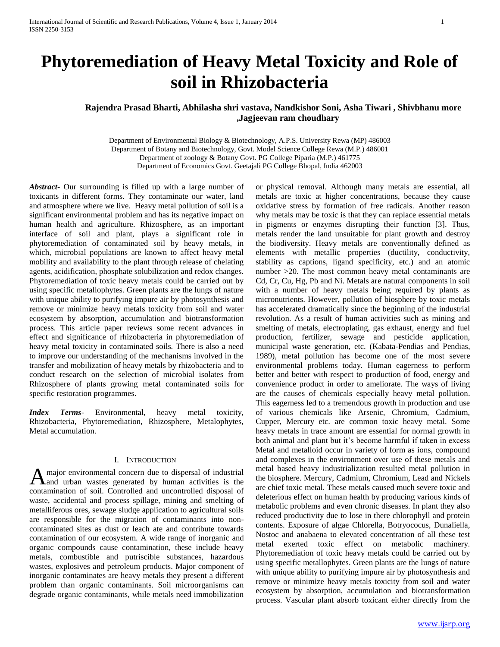# **Phytoremediation of Heavy Metal Toxicity and Role of soil in Rhizobacteria**

## **Rajendra Prasad Bharti, Abhilasha shri vastava, Nandkishor Soni, Asha Tiwari , Shivbhanu more ,Jagjeevan ram choudhary**

Department of Environmental Biology & Biotechnology, A.P.S. University Rewa (MP) 486003 Department of Botany and Biotechnology, Govt. Model Science College Rewa (M.P.) 486001 Department of zoology & Botany Govt. PG College Piparia (M.P.) 461775 Department of Economics Govt. Geetajali PG College Bhopal, India 462003

*Abstract***-** Our surrounding is filled up with a large number of toxicants in different forms. They contaminate our water, land and atmosphere where we live. Heavy metal pollution of soil is a significant environmental problem and has its negative impact on human health and agriculture. Rhizosphere, as an important interface of soil and plant, plays a significant role in phytoremediation of contaminated soil by heavy metals, in which, microbial populations are known to affect heavy metal mobility and availability to the plant through release of chelating agents, acidification, phosphate solubilization and redox changes. Phytoremediation of toxic heavy metals could be carried out by using specific metallophytes. Green plants are the lungs of nature with unique ability to purifying impure air by photosynthesis and remove or minimize heavy metals toxicity from soil and water ecosystem by absorption, accumulation and biotransformation process. This article paper reviews some recent advances in effect and significance of rhizobacteria in phytoremediation of heavy metal toxicity in contaminated soils. There is also a need to improve our understanding of the mechanisms involved in the transfer and mobilization of heavy metals by rhizobacteria and to conduct research on the selection of microbial isolates from Rhizosphere of plants growing metal contaminated soils for specific restoration programmes.

*Index Terms*- Environmental, heavy metal toxicity, Rhizobacteria, Phytoremediation, Rhizosphere, Metalophytes, Metal accumulation.

## I. INTRODUCTION

major environmental concern due to dispersal of industrial A major environmental concern due to dispersal of industrial<br>A and urban wastes generated by human activities is the contamination of soil. Controlled and uncontrolled disposal of waste, accidental and process spillage, mining and smelting of metalliferous ores, sewage sludge application to agricultural soils are responsible for the migration of contaminants into noncontaminated sites as dust or leach ate and contribute towards contamination of our ecosystem. A wide range of inorganic and organic compounds cause contamination, these include heavy metals, combustible and putriscible substances, hazardous wastes, explosives and petroleum products. Major component of inorganic contaminates are heavy metals they present a different problem than organic contaminants. Soil microorganisms can degrade organic contaminants, while metals need immobilization

or physical removal. Although many metals are essential, all metals are toxic at higher concentrations, because they cause oxidative stress by formation of free radicals. Another reason why metals may be toxic is that they can replace essential metals in pigments or enzymes disrupting their function [3]. Thus, metals render the land unsuitable for plant growth and destroy the biodiversity. Heavy metals are conventionally defined as elements with metallic properties (ductility, conductivity, stability as captions, ligand specificity, etc.) and an atomic number >20. The most common heavy metal contaminants are Cd, Cr, Cu, Hg, Pb and Ni. Metals are natural components in soil with a number of heavy metals being required by plants as micronutrients. However, pollution of biosphere by toxic metals has accelerated dramatically since the beginning of the industrial revolution. As a result of human activities such as mining and smelting of metals, electroplating, gas exhaust, energy and fuel production, fertilizer, sewage and pesticide application, municipal waste generation, etc. (Kabata-Pendias and Pendias, 1989), metal pollution has become one of the most severe environmental problems today. Human eagerness to perform better and better with respect to production of food, energy and convenience product in order to ameliorate. The ways of living are the causes of chemicals especially heavy metal pollution. This eagerness led to a tremendous growth in production and use of various chemicals like Arsenic, Chromium, Cadmium, Cupper, Mercury etc. are common toxic heavy metal. Some heavy metals in trace amount are essential for normal growth in both animal and plant but it's become harmful if taken in excess Metal and metalloid occur in variety of form as ions, compound and complexes in the environment over use of these metals and metal based heavy industrialization resulted metal pollution in the biosphere. Mercury, Cadmium, Chromium, Lead and Nickels are chief toxic metal. These metals caused much severe toxic and deleterious effect on human health by producing various kinds of metabolic problems and even chronic diseases. In plant they also reduced productivity due to lose in there chlorophyll and protein contents. Exposure of algae Chlorella, Botryococus, Dunaliella, Nostoc and anabaena to elevated concentration of all these test metal exerted toxic effect on metabolic machinery. Phytoremediation of toxic heavy metals could be carried out by using specific metallophytes. Green plants are the lungs of nature with unique ability to purifying impure air by photosynthesis and remove or minimize heavy metals toxicity from soil and water ecosystem by absorption, accumulation and biotransformation process. Vascular plant absorb toxicant either directly from the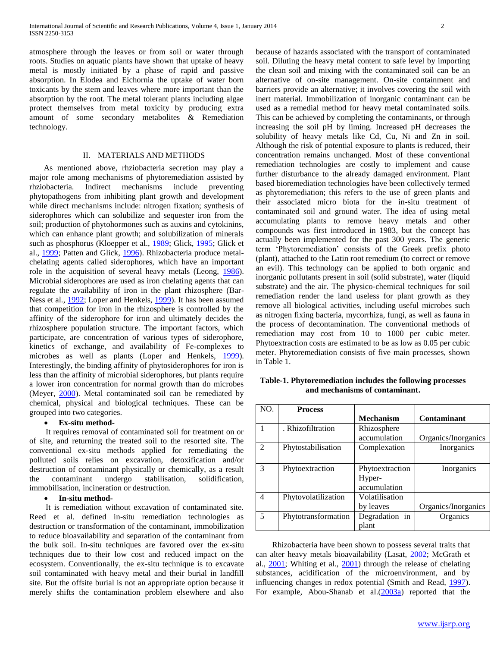atmosphere through the leaves or from soil or water through roots. Studies on aquatic plants have shown that uptake of heavy metal is mostly initiated by a phase of rapid and passive absorption. In Elodea and Eichornia the uptake of water born toxicants by the stem and leaves where more important than the absorption by the root. The metal tolerant plants including algae protect themselves from metal toxicity by producing extra amount of some secondary metabolites & Remediation technology.

#### II. MATERIALS AND METHODS

 As mentioned above, rhziobacteria secretion may play a major role among mechanisms of phytoremediation assisted by rhziobacteria. Indirect mechanisms include preventing phytopathogens from inhibiting plant growth and development while direct mechanisms include: nitrogen fixation; synthesis of siderophores which can solubilize and sequester iron from the soil; production of phytohormones such as auxins and cytokinins, which can enhance plant growth; and solubilization of minerals such as phosphorus (Kloepper et al., [1989;](http://www.ncbi.nlm.nih.gov/pmc/articles/PMC1810380/#B84) Glick, [1995;](http://www.ncbi.nlm.nih.gov/pmc/articles/PMC1810380/#B59) Glick et al., [1999;](http://www.ncbi.nlm.nih.gov/pmc/articles/PMC1810380/#B64) Patten and Glick, [1996\)](http://www.ncbi.nlm.nih.gov/pmc/articles/PMC1810380/#B119). Rhizobacteria produce metalchelating agents called siderophores, which have an important role in the acquisition of several heavy metals (Leong, [1986\)](http://www.ncbi.nlm.nih.gov/pmc/articles/PMC1810380/#B91). Microbial siderophores are used as iron chelating agents that can regulate the availability of iron in the plant rhizosphere (Bar-Ness et al., [1992;](http://www.ncbi.nlm.nih.gov/pmc/articles/PMC1810380/#B10) Loper and Henkels, [1999\)](http://www.ncbi.nlm.nih.gov/pmc/articles/PMC1810380/#B95). It has been assumed that competition for iron in the rhizosphere is controlled by the affinity of the siderophore for iron and ultimately decides the rhizosphere population structure. The important factors, which participate, are concentration of various types of siderophore, kinetics of exchange, and availability of Fe-complexes to microbes as well as plants (Loper and Henkels, [1999\)](http://www.ncbi.nlm.nih.gov/pmc/articles/PMC1810380/#B95). Interestingly, the binding affinity of phytosiderophores for iron is less than the affinity of microbial siderophores, but plants require a lower iron concentration for normal growth than do microbes (Meyer, [2000\)](http://www.ncbi.nlm.nih.gov/pmc/articles/PMC1810380/#B112). Metal contaminated soil can be remediated by chemical, physical and biological techniques. These can be grouped into two categories.

#### **Ex-situ method-**

 It requires removal of contaminated soil for treatment on or of site, and returning the treated soil to the resorted site. The conventional ex-situ methods applied for remediating the polluted soils relies on excavation, detoxification and/or destruction of contaminant physically or chemically, as a result the contaminant undergo stabilisation, solidification, immobilisation, incineration or destruction.

#### **In-situ method-**

 It is remediation without excavation of contaminated site. Reed et al. defined in-situ remediation technologies as destruction or transformation of the contaminant, immobilization to reduce bioavailability and separation of the contaminant from the bulk soil. In-situ techniques are favored over the ex-situ techniques due to their low cost and reduced impact on the ecosystem. Conventionally, the ex-situ technique is to excavate soil contaminated with heavy metal and their burial in landfill site. But the offsite burial is not an appropriate option because it merely shifts the contamination problem elsewhere and also because of hazards associated with the transport of contaminated soil. Diluting the heavy metal content to safe level by importing the clean soil and mixing with the contaminated soil can be an alternative of on-site management. On-site containment and barriers provide an alternative; it involves covering the soil with inert material. Immobilization of inorganic contaminant can be used as a remedial method for heavy metal contaminated soils. This can be achieved by completing the contaminants, or through increasing the soil pH by liming. Increased pH decreases the solubility of heavy metals like Cd, Cu, Ni and Zn in soil. Although the risk of potential exposure to plants is reduced, their concentration remains unchanged. Most of these conventional remediation technologies are costly to implement and cause further disturbance to the already damaged environment. Plant based bioremediation technologies have been collectively termed as phytoremediation; this refers to the use of green plants and their associated micro biota for the in-situ treatment of contaminated soil and ground water. The idea of using metal accumulating plants to remove heavy metals and other compounds was first introduced in 1983, but the concept has actually been implemented for the past 300 years. The generic term "Phytoremediation" consists of the Greek prefix photo (plant), attached to the Latin root remedium (to correct or remove an evil). This technology can be applied to both organic and inorganic pollutants present in soil (solid substrate), water (liquid substrate) and the air. The physico-chemical techniques for soil remediation render the land useless for plant growth as they remove all biological activities, including useful microbes such as nitrogen fixing bacteria, mycorrhiza, fungi, as well as fauna in the process of decontamination. The conventional methods of remediation may cost from 10 to 1000 per cubic meter. Phytoextraction costs are estimated to be as low as 0.05 per cubic meter. Phytoremediation consists of five main processes, shown in Table 1.

| Table-1. Phytoremediation includes the following processes |  |  |  |  |  |
|------------------------------------------------------------|--|--|--|--|--|
| and mechanisms of contaminant.                             |  |  |  |  |  |

| NO.            | <b>Process</b>      |                  |                     |
|----------------|---------------------|------------------|---------------------|
|                |                     | <b>Mechanism</b> | <b>Contaminant</b>  |
|                | . Rhizofiltration   | Rhizosphere      |                     |
|                |                     | accumulation     | Organics/Inorganics |
| $\mathfrak{D}$ | Phytostabilisation  | Complexation     | Inorganics          |
|                |                     |                  |                     |
| 3              | Phytoextraction     | Phytoextraction  | Inorganics          |
|                |                     | Hyper-           |                     |
|                |                     | accumulation     |                     |
| 4              | Phytovolatilization | Volatilisation   |                     |
|                |                     | by leaves        | Organics/Inorganics |
| 5              | Phytotransformation | Degradation in   | Organics            |
|                |                     | plant            |                     |

 Rhizobacteria have been shown to possess several traits that can alter heavy metals bioavailability (Lasat, [2002;](http://www.ncbi.nlm.nih.gov/pmc/articles/PMC1810380/#B88) McGrath et al., [2001;](http://www.ncbi.nlm.nih.gov/pmc/articles/PMC1810380/#B110) Whiting et al., [2001\)](http://www.ncbi.nlm.nih.gov/pmc/articles/PMC1810380/#B152) through the release of chelating substances, acidification of the microenvironment, and by influencing changes in redox potential (Smith and Read, [1997\)](http://www.ncbi.nlm.nih.gov/pmc/articles/PMC1810380/#B138). For example, Abou-Shanab et al. $(2003a)$  reported that the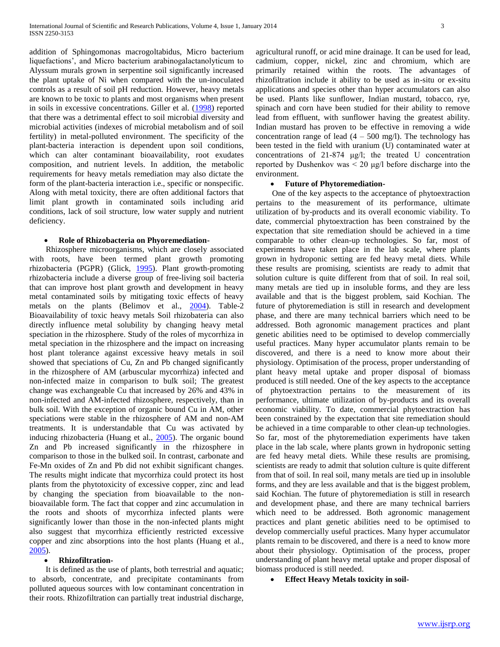addition of Sphingomonas macrogoltabidus, Micro bacterium liquefactions', and Micro bacterium arabinogalactanolyticum to Alyssum murals grown in serpentine soil significantly increased the plant uptake of Ni when compared with the un-inoculated controls as a result of soil pH reduction. However, heavy metals are known to be toxic to plants and most organisms when present in soils in excessive concentrations. Giller et al. [\(1998\)](http://www.ncbi.nlm.nih.gov/pmc/articles/PMC1810380/#B58) reported that there was a detrimental effect to soil microbial diversity and microbial activities (indexes of microbial metabolism and of soil fertility) in metal-polluted environment. The specificity of the plant-bacteria interaction is dependent upon soil conditions, which can alter contaminant bioavailability, root exudates composition, and nutrient levels. In addition, the metabolic requirements for heavy metals remediation may also dictate the form of the plant-bacteria interaction i.e., specific or nonspecific. Along with metal toxicity, there are often additional factors that limit plant growth in contaminated soils including arid conditions, lack of soil structure, low water supply and nutrient deficiency.

#### **Role of Rhizobacteria on Phyoremediation-**

 Rhizosphere microorganisms, which are closely associated with roots, have been termed plant growth promoting rhizobacteria (PGPR) (Glick, [1995\)](http://www.ncbi.nlm.nih.gov/pmc/articles/PMC1810380/#B59). Plant growth-promoting rhizobacteria include a diverse group of free-living soil bacteria that can improve host plant growth and development in heavy metal contaminated soils by mitigating toxic effects of heavy metals on the plants (Belimov et al., [2004\)](http://www.ncbi.nlm.nih.gov/pmc/articles/PMC1810380/#B14). Table-2 Bioavailability of toxic heavy metals Soil rhizobateria can also directly influence metal solubility by changing heavy metal speciation in the rhizosphere. Study of the roles of mycorrhiza in metal speciation in the rhizosphere and the impact on increasing host plant tolerance against excessive heavy metals in soil showed that speciations of Cu, Zn and Pb changed significantly in the rhizosphere of AM (arbuscular mycorrhiza) infected and non-infected maize in comparison to bulk soil; The greatest change was exchangeable Cu that increased by 26% and 43% in non-infected and AM-infected rhizosphere, respectively, than in bulk soil. With the exception of organic bound Cu in AM, other speciations were stable in the rhizosphere of AM and non-AM treatments. It is understandable that Cu was activated by inducing rhizobacteria (Huang et al., [2005\)](http://www.ncbi.nlm.nih.gov/pmc/articles/PMC1810380/#B73). The organic bound Zn and Pb increased significantly in the rhizosphere in comparison to those in the bulked soil. In contrast, carbonate and Fe-Mn oxides of Zn and Pb did not exhibit significant changes. The results might indicate that mycorrhiza could protect its host plants from the phytotoxicity of excessive copper, zinc and lead by changing the speciation from bioavailable to the nonbioavailable form. The fact that copper and zinc accumulation in the roots and shoots of mycorrhiza infected plants were significantly lower than those in the non-infected plants might also suggest that mycorrhiza efficiently restricted excessive copper and zinc absorptions into the host plants (Huang et al., [2005\)](http://www.ncbi.nlm.nih.gov/pmc/articles/PMC1810380/#B73).

#### **Rhizofiltration-**

 It is defined as the use of plants, both terrestrial and aquatic; to absorb, concentrate, and precipitate contaminants from polluted aqueous sources with low contaminant concentration in their roots. Rhizofiltration can partially treat industrial discharge, agricultural runoff, or acid mine drainage. It can be used for lead, cadmium, copper, nickel, zinc and chromium, which are primarily retained within the roots. The advantages of rhizofiltration include it ability to be used as in-situ or ex-situ applications and species other than hyper accumulators can also be used. Plants like sunflower, Indian mustard, tobacco, rye, spinach and corn have been studied for their ability to remove lead from effluent, with sunflower having the greatest ability. Indian mustard has proven to be effective in removing a wide concentration range of lead  $(4 - 500 \text{ mg/l})$ . The technology has been tested in the field with uranium (U) contaminated water at concentrations of 21-874 μg/l; the treated U concentration reported by Dushenkov was < 20 μg/l before discharge into the environment.

### **Future of Phytoremediation-**

 One of the key aspects to the acceptance of phytoextraction pertains to the measurement of its performance, ultimate utilization of by-products and its overall economic viability. To date, commercial phytoextraction has been constrained by the expectation that site remediation should be achieved in a time comparable to other clean-up technologies. So far, most of experiments have taken place in the lab scale, where plants grown in hydroponic setting are fed heavy metal diets. While these results are promising, scientists are ready to admit that solution culture is quite different from that of soil. In real soil, many metals are tied up in insoluble forms, and they are less available and that is the biggest problem, said Kochian. The future of phytoremediation is still in research and development phase, and there are many technical barriers which need to be addressed. Both agronomic management practices and plant genetic abilities need to be optimised to develop commercially useful practices. Many hyper accumulator plants remain to be discovered, and there is a need to know more about their physiology. Optimisation of the process, proper understanding of plant heavy metal uptake and proper disposal of biomass produced is still needed. One of the key aspects to the acceptance of phytoextraction pertains to the measurement of its performance, ultimate utilization of by-products and its overall economic viability. To date, commercial phytoextraction has been constrained by the expectation that site remediation should be achieved in a time comparable to other clean-up technologies. So far, most of the phytoremediation experiments have taken place in the lab scale, where plants grown in hydroponic setting are fed heavy metal diets. While these results are promising, scientists are ready to admit that solution culture is quite different from that of soil. In real soil, many metals are tied up in insoluble forms, and they are less available and that is the biggest problem, said Kochian. The future of phytoremediation is still in research and development phase, and there are many technical barriers which need to be addressed. Both agronomic management practices and plant genetic abilities need to be optimised to develop commercially useful practices. Many hyper accumulator plants remain to be discovered, and there is a need to know more about their physiology. Optimisation of the process, proper understanding of plant heavy metal uptake and proper disposal of biomass produced is still needed.

**Effect Heavy Metals toxicity in soil-**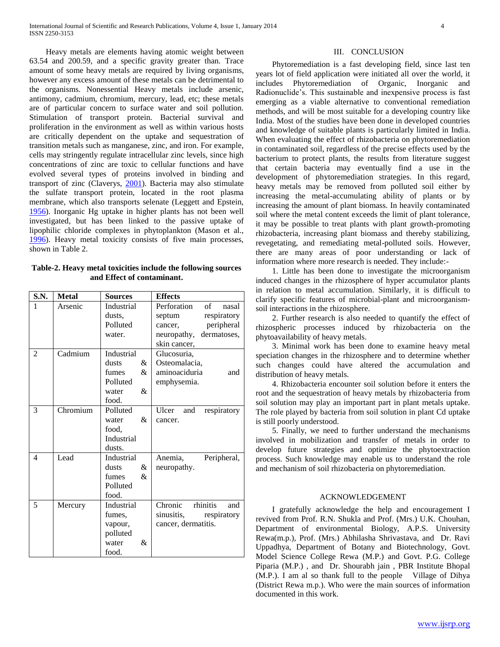Heavy metals are elements having atomic weight between 63.54 and 200.59, and a specific gravity greater than. Trace amount of some heavy metals are required by living organisms, however any excess amount of these metals can be detrimental to the organisms. Nonessential Heavy metals include arsenic, antimony, cadmium, chromium, mercury, lead, etc; these metals are of particular concern to surface water and soil pollution. Stimulation of transport protein. Bacterial survival and proliferation in the environment as well as within various hosts are critically dependent on the uptake and sequestration of transition metals such as manganese, zinc, and iron. For example, cells may stringently regulate intracellular zinc levels, since high concentrations of zinc are toxic to cellular functions and have evolved several types of proteins involved in binding and transport of zinc (Claverys, [2001\)](http://www.ncbi.nlm.nih.gov/pmc/articles/PMC1810380/#B32). Bacteria may also stimulate the sulfate transport protein, located in the root plasma membrane, which also transports selenate (Leggett and Epstein, [1956\)](http://www.ncbi.nlm.nih.gov/pmc/articles/PMC1810380/#B89). Inorganic Hg uptake in higher plants has not been well investigated, but has been linked to the passive uptake of lipophilic chloride complexes in phytoplankton (Mason et al., [1996\)](http://www.ncbi.nlm.nih.gov/pmc/articles/PMC1810380/#B102). Heavy metal toxicity consists of five main processes, shown in Table 2.

**Table-2. Heavy metal toxicities include the following sources and Effect of contaminant.**

| S.N.                     | <b>Metal</b> | <b>Sources</b>                       | <b>Effects</b>              |
|--------------------------|--------------|--------------------------------------|-----------------------------|
| 1                        | Arsenic      | Industrial                           | Perforation of<br>nasal     |
|                          |              | dusts.                               | respiratory<br>septum       |
|                          |              | Polluted                             | peripheral<br>cancer,       |
|                          |              | water.                               | neuropathy, dermatoses,     |
|                          |              |                                      | skin cancer,                |
| $\overline{2}$           | Cadmium      | Industrial                           | Glucosuria,                 |
|                          |              | dusts<br>&                           | Osteomalacia,               |
|                          |              | &<br>fumes                           | aminoaciduria<br>and        |
|                          |              | Polluted                             | emphysemia.                 |
|                          |              | $\mathcal{R}_{\mathcal{I}}$<br>water |                             |
|                          |              | food.                                |                             |
| 3                        | Chromium     | Polluted                             | Ulcer<br>respiratory<br>and |
|                          |              | &<br>water                           | cancer.                     |
|                          |              | food,                                |                             |
|                          |              | Industrial                           |                             |
|                          |              | dusts.                               |                             |
| $\overline{\mathcal{A}}$ | Lead         | Industrial                           | Anemia,<br>Peripheral,      |
|                          |              | &<br>dusts                           | neuropathy.                 |
|                          |              | fumes<br>$\mathcal{R}_{\mathcal{L}}$ |                             |
|                          |              | Polluted                             |                             |
|                          |              | food.                                |                             |
| 5                        | Mercury      | Industrial                           | Chronic<br>rhinitis<br>and  |
|                          |              | fumes,                               | sinusitis,<br>respiratory   |
|                          |              | vapour,                              | cancer, dermatitis.         |
|                          |              | polluted                             |                             |
|                          |              | &<br>water                           |                             |
|                          |              | food.                                |                             |

### III. CONCLUSION

 Phytoremediation is a fast developing field, since last ten years lot of field application were initiated all over the world, it includes Phytoremediation of Organic, Inorganic and Radionuclide"s. This sustainable and inexpensive process is fast emerging as a viable alternative to conventional remediation methods, and will be most suitable for a developing country like India. Most of the studies have been done in developed countries and knowledge of suitable plants is particularly limited in India. When evaluating the effect of rhizobacteria on phytoremediation in contaminated soil, regardless of the precise effects used by the bacterium to protect plants, the results from literature suggest that certain bacteria may eventually find a use in the development of phytoremediation strategies. In this regard, heavy metals may be removed from polluted soil either by increasing the metal-accumulating ability of plants or by increasing the amount of plant biomass. In heavily contaminated soil where the metal content exceeds the limit of plant tolerance, it may be possible to treat plants with plant growth-promoting rhizobacteria, increasing plant biomass and thereby stabilizing, revegetating, and remediating metal-polluted soils. However, there are many areas of poor understanding or lack of information where more research is needed. They include:-

 1. Little has been done to investigate the microorganism induced changes in the rhizosphere of hyper accumulator plants in relation to metal accumulation. Similarly, it is difficult to clarify specific features of microbial-plant and microorganismsoil interactions in the rhizosphere.

 2. Further research is also needed to quantify the effect of rhizospheric processes induced by rhizobacteria on the phytoavailability of heavy metals.

 3. Minimal work has been done to examine heavy metal speciation changes in the rhizosphere and to determine whether such changes could have altered the accumulation and distribution of heavy metals.

 4. Rhizobacteria encounter soil solution before it enters the root and the sequestration of heavy metals by rhizobacteria from soil solution may play an important part in plant metals uptake. The role played by bacteria from soil solution in plant Cd uptake is still poorly understood.

 5. Finally, we need to further understand the mechanisms involved in mobilization and transfer of metals in order to develop future strategies and optimize the phytoextraction process. Such knowledge may enable us to understand the role and mechanism of soil rhizobacteria on phytoremediation.

#### ACKNOWLEDGEMENT

 I gratefully acknowledge the help and encouragement I revived from Prof. R.N. Shukla and Prof. (Mrs.) U.K. Chouhan, Department of environmental Biology, A.P.S. University Rewa(m.p.), Prof. (Mrs.) Abhilasha Shrivastava, and Dr. Ravi Uppadhya, Department of Botany and Biotechnology, Govt. Model Science College Rewa (M.P.) and Govt. P.G. College Piparia (M.P.) , and Dr. Shourabh jain , PBR Institute Bhopal (M.P.). I am al so thank full to the people Village of Dihya (District Rewa m.p.). Who were the main sources of information documented in this work.